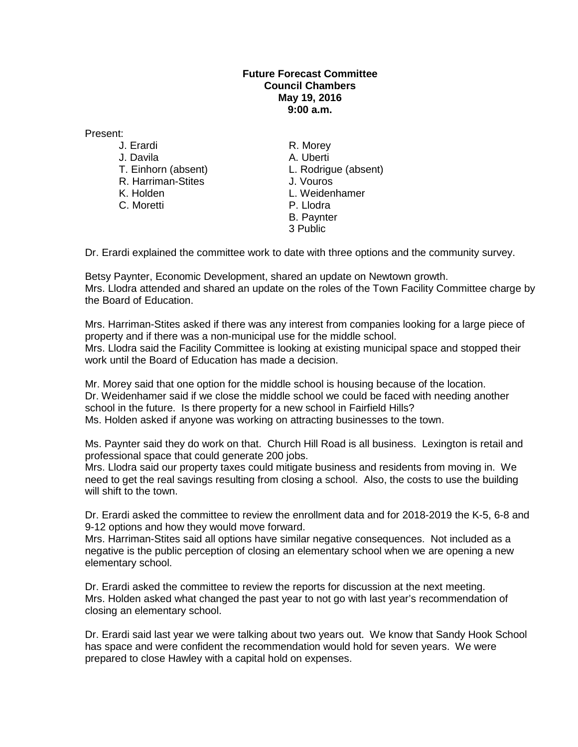## **Future Forecast Committee Council Chambers May 19, 2016 9:00 a.m.**

Present:<br>J. Erardi

- J. Davila **A.** Uberti T. Einhorn (absent) L. Rodrigue (absent)<br>
R. Harriman-Stites<br>
J. Vouros R. Harriman-Stites<br>K. Holden C. Moretti P. Llodra
- R. Morey L. Weidenhamer B. Paynter 3 Public

Dr. Erardi explained the committee work to date with three options and the community survey.

Betsy Paynter, Economic Development, shared an update on Newtown growth. Mrs. Llodra attended and shared an update on the roles of the Town Facility Committee charge by the Board of Education.

Mrs. Harriman-Stites asked if there was any interest from companies looking for a large piece of property and if there was a non-municipal use for the middle school. Mrs. Llodra said the Facility Committee is looking at existing municipal space and stopped their work until the Board of Education has made a decision.

Mr. Morey said that one option for the middle school is housing because of the location. Dr. Weidenhamer said if we close the middle school we could be faced with needing another school in the future. Is there property for a new school in Fairfield Hills? Ms. Holden asked if anyone was working on attracting businesses to the town.

Ms. Paynter said they do work on that. Church Hill Road is all business. Lexington is retail and professional space that could generate 200 jobs.

Mrs. Llodra said our property taxes could mitigate business and residents from moving in. We need to get the real savings resulting from closing a school. Also, the costs to use the building will shift to the town.

Dr. Erardi asked the committee to review the enrollment data and for 2018-2019 the K-5, 6-8 and 9-12 options and how they would move forward.

Mrs. Harriman-Stites said all options have similar negative consequences. Not included as a negative is the public perception of closing an elementary school when we are opening a new elementary school.

Dr. Erardi asked the committee to review the reports for discussion at the next meeting. Mrs. Holden asked what changed the past year to not go with last year's recommendation of closing an elementary school.

Dr. Erardi said last year we were talking about two years out. We know that Sandy Hook School has space and were confident the recommendation would hold for seven years. We were prepared to close Hawley with a capital hold on expenses.